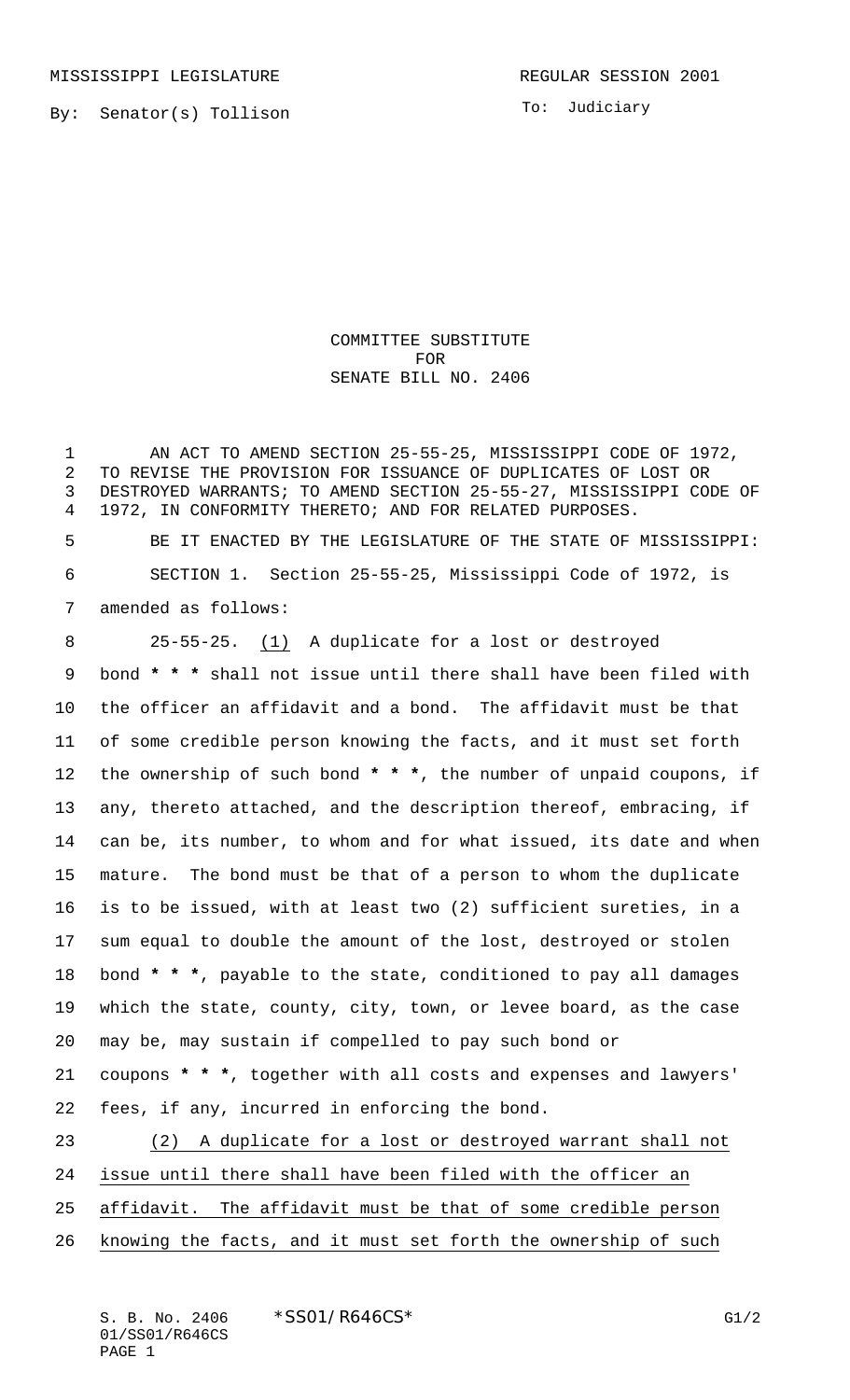MISSISSIPPI LEGISLATURE **REGULAR SESSION 2001** 

To: Judiciary

COMMITTEE SUBSTITUTE FOR SENATE BILL NO. 2406

 AN ACT TO AMEND SECTION 25-55-25, MISSISSIPPI CODE OF 1972, TO REVISE THE PROVISION FOR ISSUANCE OF DUPLICATES OF LOST OR DESTROYED WARRANTS; TO AMEND SECTION 25-55-27, MISSISSIPPI CODE OF 1972, IN CONFORMITY THERETO; AND FOR RELATED PURPOSES. BE IT ENACTED BY THE LEGISLATURE OF THE STATE OF MISSISSIPPI: SECTION 1. Section 25-55-25, Mississippi Code of 1972, is amended as follows: 25-55-25. (1) A duplicate for a lost or destroyed bond **\* \* \*** shall not issue until there shall have been filed with the officer an affidavit and a bond. The affidavit must be that of some credible person knowing the facts, and it must set forth the ownership of such bond **\* \* \***, the number of unpaid coupons, if any, thereto attached, and the description thereof, embracing, if can be, its number, to whom and for what issued, its date and when mature. The bond must be that of a person to whom the duplicate is to be issued, with at least two (2) sufficient sureties, in a sum equal to double the amount of the lost, destroyed or stolen bond **\* \* \***, payable to the state, conditioned to pay all damages which the state, county, city, town, or levee board, as the case may be, may sustain if compelled to pay such bond or coupons **\* \* \***, together with all costs and expenses and lawyers' fees, if any, incurred in enforcing the bond. (2) A duplicate for a lost or destroyed warrant shall not issue until there shall have been filed with the officer an

affidavit. The affidavit must be that of some credible person

knowing the facts, and it must set forth the ownership of such